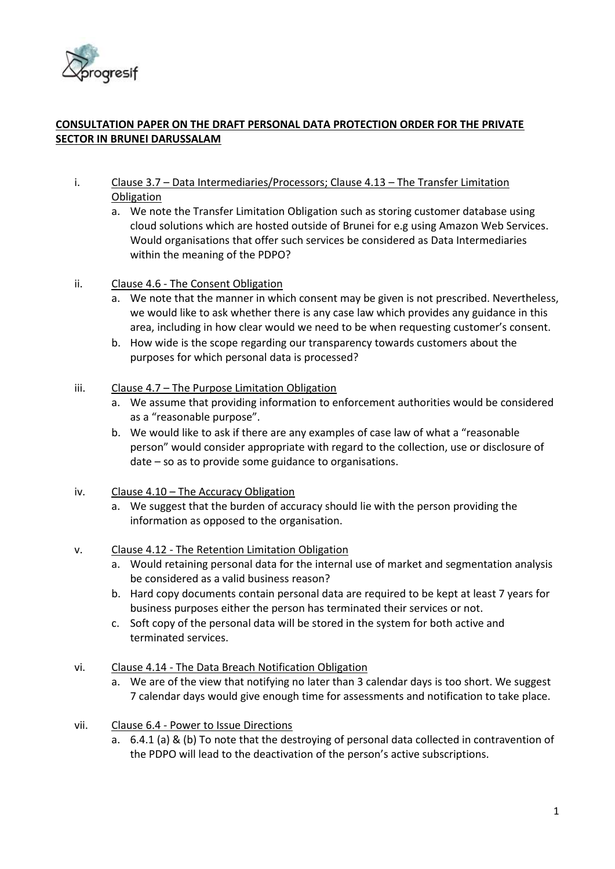

## **CONSULTATION PAPER ON THE DRAFT PERSONAL DATA PROTECTION ORDER FOR THE PRIVATE SECTOR IN BRUNEI DARUSSALAM**

- i. Clause 3.7 Data Intermediaries/Processors; Clause 4.13 The Transfer Limitation **Obligation** 
	- a. We note the Transfer Limitation Obligation such as storing customer database using cloud solutions which are hosted outside of Brunei for e.g using Amazon Web Services. Would organisations that offer such services be considered as Data Intermediaries within the meaning of the PDPO?
- ii. Clause 4.6 The Consent Obligation
	- a. We note that the manner in which consent may be given is not prescribed. Nevertheless, we would like to ask whether there is any case law which provides any guidance in this area, including in how clear would we need to be when requesting customer's consent.
	- b. How wide is the scope regarding our transparency towards customers about the purposes for which personal data is processed?

## iii. Clause 4.7 – The Purpose Limitation Obligation

- a. We assume that providing information to enforcement authorities would be considered as a "reasonable purpose".
- b. We would like to ask if there are any examples of case law of what a "reasonable person" would consider appropriate with regard to the collection, use or disclosure of date – so as to provide some guidance to organisations.
- iv. Clause 4.10 The Accuracy Obligation
	- a. We suggest that the burden of accuracy should lie with the person providing the information as opposed to the organisation.
- v. Clause 4.12 The Retention Limitation Obligation
	- a. Would retaining personal data for the internal use of market and segmentation analysis be considered as a valid business reason?
	- b. Hard copy documents contain personal data are required to be kept at least 7 years for business purposes either the person has terminated their services or not.
	- c. Soft copy of the personal data will be stored in the system for both active and terminated services.
- vi. Clause 4.14 The Data Breach Notification Obligation
	- a. We are of the view that notifying no later than 3 calendar days is too short. We suggest 7 calendar days would give enough time for assessments and notification to take place.
- vii. Clause 6.4 Power to Issue Directions
	- a. 6.4.1 (a) & (b) To note that the destroying of personal data collected in contravention of the PDPO will lead to the deactivation of the person's active subscriptions.